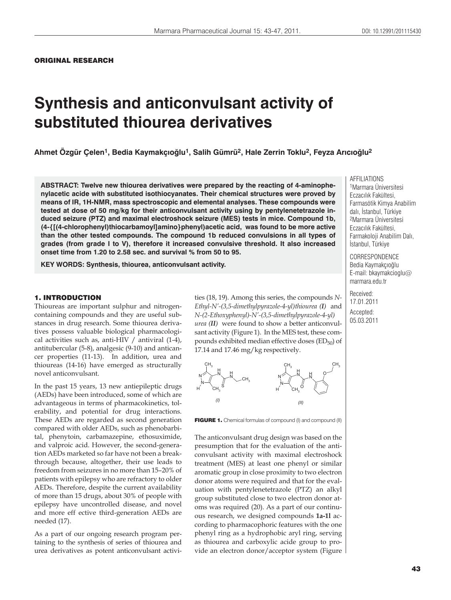ORIGINAL RESEARCH

# **Synthesis and anticonvulsant activity of substituted thiourea derivatives**

**Ahmet Özgür Çelen1, Bedia Kaymakç×oùlu1, Salih Gümrü2, Hale Zerrin Toklu2, Feyza Ar×c×oùlu2**

**ABSTRACT: Twelve new thiourea derivatives were prepared by the reacting of 4-aminophenylacetic acide with substituted isothiocyanates. Their chemical structures were proved by means of IR, 1H-NMR, mass spectroscopic and elemental analyses. These compounds were tested at dose of 50 mg/kg for their anticonvulsant activity using by pentylenetetrazole induced seizure (PTZ) and maximal electroshock seizure (MES) tests in mice. Compound 1b, (4-{[(4-chlorophenyl)thiocarbamoyl]amino}phenyl)acetic acid, was found to be more active than the other tested compounds. The compound 1b reduced convulsions in all types of grades (from grade I to V), therefore it increased convulsive threshold. It also increased onset time from 1.20 to 2.58 sec. and survival % from 50 to 95.** 

**KEY WORDS: Synthesis, thiourea, anticonvulsant activity.**

# 1. INTRODUCTION

Thioureas are important sulphur and nitrogencontaining compounds and they are useful substances in drug research. Some thiourea derivatives possess valuable biological pharmacological activities such as, anti-HIV / antiviral (1-4), antitubercular (5-8), analgesic (9-10) and anticancer properties (11-13). In addition, urea and thioureas (14-16) have emerged as structurally novel anticonvulsant.

In the past 15 years, 13 new antiepileptic drugs (AEDs) have been introduced, some of which are advantageous in terms of pharmacokinetics, tolerability, and potential for drug interactions. These AEDs are regarded as second generation compared with older AEDs, such as phenobarbital, phenytoin, carbamazepine, ethosuximide, and valproic acid. However, the second-generation AEDs marketed so far have not been a breakthrough because, altogether, their use leads to freedom from seizures in no more than 15–20% of patients with epilepsy who are refractory to older AEDs. Therefore, despite the current availability of more than 15 drugs, about 30% of people with epilepsy have uncontrolled disease, and novel and more eff ective third-generation AEDs are needed (17).

As a part of our ongoing research program pertaining to the synthesis of series of thiourea and urea derivatives as potent anticonvulsant activities (18, 19). Among this series, the compounds *N-Ethyl-N'-(3,5-dimethylpyrazole-4-yl)thiourea (I)*and *N-(2-Ethoxyphenyl)-N'-(3,5-dimethylpyrazole-4-yl) urea (II)* were found to show a better anticonvulsant activity (Figure 1). In the MES test, these compounds exhibited median effective doses  $(ED_{50})$  of 17.14 and 17.46 mg/kg respectively.



FIGURE 1. Chemical formulas of compound (I) and compound (II)

The anticonvulsant drug design was based on the presumption that for the evaluation of the anticonvulsant activity with maximal electroshock treatment (MES) at least one phenyl or similar aromatic group in close proximity to two electron donor atoms were required and that for the evaluation with pentylenetetrazole (PTZ) an alkyl group substituted close to two electron donor atoms was required (20). As a part of our continuous research, we designed compounds **1a-1l** according to pharmacophoric features with the one phenyl ring as a hydrophobic aryl ring, serving as thiourea and carboxylic acide group to provide an electron donor/acceptor system (Figure

AFFILIATIONS

1Marmara Üniversitesi Eczacılık Fakültesi, Farmasötik Kimya Anabilim dalı, İstanbul, Türkiye 2Marmara Üniversitesi Fczacılık Fakültesi, Farmakoloji Anabilim Dalı. İstanbul, Türkiye

**CORRESPONDENCE** Bedia Kaymakçıoğlu E-mail: bkaymakcioglu@ marmara.edu.tr

Received: 17.01.2011 Accepted: 05.03.2011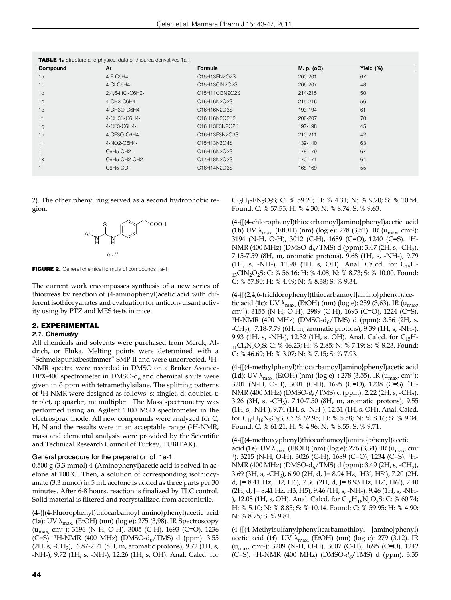| Compound       | Ar                | Formula        | M. p. (oC) | Yield (%) |
|----------------|-------------------|----------------|------------|-----------|
| 1a             | 4-F-C6H4-         | C15H13FN2O2S   | 200-201    | 67        |
| 1 <sub>b</sub> | 4-CI-C6H4-        | C15H13CIN2O2S  | 206-207    | 48        |
| 1 <sup>c</sup> | 2,4,6-triCl-C6H2- | C15H11Cl3N2O2S | 214-215    | 50        |
| 1 <sub>d</sub> | 4-CH3-C6H4-       | C16H16N2O2S    | 215-216    | 56        |
| 1e             | 4-CH3O-C6H4-      | C16H16N2O3S    | 193-194    | 61        |
| 1f             | 4-CH3S-C6H4-      | C16H16N2O2S2   | 206-207    | 70        |
| 1g             | 4-CF3-C6H4-       | C16H13F3N2O2S  | 197-198    | 45        |
| 1 <sub>h</sub> | 4-CF3O-C6H4-      | C16H13F3N2O3S  | 210-211    | 42        |
| 1i             | 4-NO2-C6H4-       | C15H13N3O4S    | 139-140    | 63        |
| 1j             | C6H5-CH2-         | C16H16N2O2S    | 178-179    | 67        |
| 1k             | C6H5-CH2-CH2-     | C17H18N2O2S    | 170-171    | 64        |
| 11             | C6H5-CO-          | C16H14N2O3S    | 168-169    | 55        |

2). The other phenyl ring served as a second hydrophobic re-



FIGURE 2. General chemical formula of compounds 1a-1l

The current work encompasses synthesis of a new series of thioureas by reaction of (4-aminophenyl)acetic acid with different isothiocyanates and evaluation for anticonvulsant activity using by PTZ and MES tests in mice.

#### 2. EXPERIMENTAL

#### *2.1. Chemistry*

gion.

All chemicals and solvents were purchased from Merck, Aldrich, or Fluka. Melting points were determined with a "Schmelzpunktbestimmer" SMP II and were uncorrected. 1H-NMR spectra were recorded in DMSO on a Bruker Avance-DPX-400 spectrometer in DMSO- $d_6$  and chemical shifts were given in δ ppm with tetramethylsilane. The splitting patterns of 1H-NMR were designed as follows: s: singlet, d: doublet, t: triplet, q: quarlet, m: multiplet. The Mass spectrometry was performed using an Agilent 1100 MSD spectrometer in the electrospray mode. All new compounds were analyzed for C, H, N and the results were in an acceptable range (<sup>1</sup>H-NMR, mass and elemental analysis were provided by the Scientific and Technical Research Council of Turkey, TUBITAK).

#### General procedure for the preparation of 1a-1l

0.500 g (3.3 mmol) 4-(Aminophenyl)acetic acid is solved in acetone at 100°C. Then, a solution of corresponding isothiocyanate (3.3 mmol) in 5 mL acetone is added as three parts per 30 minutes. After 6-8 hours, reaction is finalized by TLC control. Solid material is filtered and recrystallized from acetonitrile.

(4-{[(4-Fluorophenyl)thiocarbamoyl]amino}phenyl)acetic acid  $(1a)$ : UV  $\lambda_{\text{max}}$  (EtOH) (nm) (log e): 275 (3,98). IR Spectroscopy (umax, cm-1): 3196 (N-H, O-H), 3005 (C-H), 1693 (C=O), 1236 (C=S). <sup>1</sup>H-NMR (400 MHz) (DMSO- $d_6$ /TMS) d (ppm): 3.55 (2H, s, -CH<sub>2</sub>), 6.87-7.71 (8H, m, aromatic protons), 9.72 (1H, s, -NH-), 9.72 (1H, s, -NH-), 12.26 (1H, s, OH). Anal. Calcd. for  $C_{15}H_{13}FN_2O_2S$ ; C: % 59.20; H: % 4.31; N: % 9.20; S: % 10.54. Found: C: % 57.55; H: % 4.30; N: % 8.74; S: % 9.63.

(4-{[(4-chlorophenyl)thiocarbamoyl]amino}phenyl)acetic acid **(1b)** UV  $\lambda_{\text{max}}$  (EtOH) (nm) (log e): 278 (3,51). IR ( $u_{\text{max}}$ , cm<sup>-1</sup>): 3194 (N-H, O-H), 3012 (C-H), 1689 (C=O), 1240 (C=S). 1H-NMR (400 MHz) (DMSO-d<sub>6</sub>/TMS) d (ppm): 3.47 (2H, s, -CH<sub>2</sub>), 7.15-7.59 (8H, m, aromatic protons), 9.68 (1H, s, -NH-), 9.79 (1H, s, -NH-), 11.98 (1H, s, OH). Anal. Calcd. for  $C_{15}H 13$ ClN<sub>2</sub>O<sub>2</sub>S; C: % 56.16; H: % 4.08; N: % 8.73; S: % 10.00. Found: C: % 57.80; H: % 4.49; N: % 8.38; S: % 9.34.

(4-{[(2,4,6-trichlorophenyl)thiocarbamoyl]amino}phenyl)acetic acid (**1c**): UV  $\lambda_{\text{max}}$  (EtOH) (nm) (log e): 259 (3,63). IR ( $u_{\text{max}}$ , cm-1): 3155 (N-H, O-H), 2989 (C-H), 1693 (C=O), 1224 (C=S). <sup>1</sup>H-NMR (400 MHz) (DMSO-d<sub>6</sub>/TMS) d (ppm): 3.56 (2H, s, -CH2), 7.18-7.79 (6H, m, aromatic protons), 9.39 (1H, s, -NH-), 9.93 (1H, s, -NH-), 12.32 (1H, s, OH). Anal. Calcd. for  $C_{15}H$ - $11\text{Cl}_3\text{N}_2\text{O}_2$ S; C: % 46.23; H: % 2.85; N: % 7.19; S: % 8.23. Found: C: % 46.69; H: % 3.07; N: % 7.15; S: % 7.93.

(4-{[(4-methylphenyl)thiocarbamoyl]amino}phenyl)acetic acid (**1d**): UV λmax. (EtOH) (nm) (log e) **:** 278 (3,55). IR (umax, cm-1): 3201 (N-H, O-H), 3001 (C-H), 1695 (C=O), 1238 (C=S). 1H-NMR (400 MHz) (DMSO- $d_6$ /TMS) d (ppm): 2.22 (2H, s, -CH<sub>2</sub>), 3.26 (3H, s, -CH3), 7.10-7.50 (8H, m, aromatic protons), 9.55 (1H, s, -NH-), 9.74 (1H, s, -NH-), 12.31 (1H, s, OH). Anal. Calcd. for  $C_{16}H_{16}N_2O_2S$ ; C: % 62.95; H: % 5.58; N: % 8.16; S: % 9.34. Found: C: % 61.21; H: % 4.96; N: % 8.55; S: % 9.71.

(4-{[(4-methoxyphenyl)thiocarbamoyl]amino}phenyl)acetic acid (**1e**): UV λ<sub>max.</sub> (EtOH) (nm) (log e): 276 (3,34). IR (u<sub>max</sub>, cm<sup>-</sup> 1): 3215 (N-H, O-H), 3026 (C-H), 1689 (C=O), 1234 (C=S). 1H-NMR (400 MHz) (DMSO-d<sub>6</sub>/TMS) d (ppm): 3.49 (2H, s, -CH<sub>2</sub>), 3.69 (3H, s, -CH3), 6.90 (2H, d, J= 8.94 Hz, H3', H5'), 7.20 (2H, d, J= 8.41 Hz, H2, H6), 7.30 (2H, d, J= 8.93 Hz, H2', H6'), 7.40 (2H, d, J= 8.41 Hz, H3, H5), 9.46 (1H, s, -NH-), 9.46 (1H, s, -NH- ), 12.08 (1H, s, OH). Anal. Calcd. for  $C_{16}H_{16}N_2O_3S$ ; C: % 60.74; H: % 5.10; N: % 8.85; S: % 10.14. Found: C: % 59.95; H: % 4.90; N: % 8.75; S: % 9.81.

(4-{[(4-Methylsulfanylphenyl)carbamothioyl ]amino}phenyl) acetic acid (**1f**): UV λmax. (EtOH) (nm) (log e): 279 (3,12). IR (umax, cm-1): 3209 (N-H, O-H), 3007 (C-H), 1695 (C=O), 1242 (C=S). 1H-NMR (400 MHz) (DMSO-*d6*/TMS) d (ppm): 3.35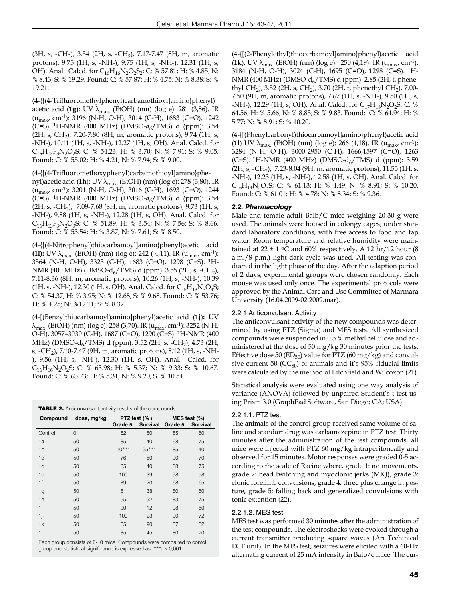(3H, s, -CH<sub>3</sub>), 3.54 (2H, s, -CH<sub>2</sub>), 7.17-7.47 (8H, m, aromatic protons), 9.75 (1H, s, -NH-), 9.75 (1H, s, -NH-), 12.31 (1H, s, OH). Anal. Calcd. for C<sub>16</sub>H<sub>16</sub>N<sub>2</sub>O<sub>2</sub>S<sub>2</sub>; C: % 57.81; H: % 4.85; N: % 8.43; S: % 19.29. Found: C: % 57.87; H: % 4.75; N: % 8.38; S: % 19.21.

(4-{[(4-Trifluoromethylphenyl)carbamothioyl]amino}phenyl) acetic acid (**1g**): UV λ<sub>max.</sub> (EtOH) (nm) (log e): 281 (3,86). IR (umax, cm-1): 3196 (N-H, O-H), 3014 (C-H), 1683 (C=O), 1242 (C=S). 1H-NMR (400 MHz) (DMSO-*d6*/TMS) d (ppm): 3.54 (2H, s, CH<sub>2</sub>), 7.20-7.80 (8H, m, aromatic protons), 9.74 (1H, s, -NH-), 10.11 (1H, s, -NH-), 12.27 (1H, s, OH). Anal. Calcd. for  $C_{16}H_{13}F_3N_2O_2S$ ; C: % 54.23; H: % 3.70; N: % 7.91; S: % 9.05. Found: C: % 55.02; H: % 4.21; N: % 7.94; S: % 9.00.

(4-{[(4-Trifluoromethoxyphenyl)carbamothioyl]amino}phenyl)acetic acid (**1h**): UV λ<sub>max.</sub> (EtOH) (nm) (log e): 278 (3,80). IR (umax, cm-1): 3201 (N-H, O-H), 3016 (C-H), 1693 (C=O), 1244 (C=S). 1H-NMR (400 MHz) (DMSO-*d6*/TMS) d (ppm): 3.54 (2H, s, -CH<sub>2</sub>), 7.09-7.68 (8H, m, aromatic protons), 9.73 (1H, s, -NH-), 9.88 (1H, s, -NH-), 12.28 (1H, s, OH). Anal. Calcd. for  $C_{16}H_{13}F_3N_2O_3S$ ; C: % 51.89; H: % 3.54; N: % 7.56; S: % 8.66. Found: C: % 53.54; H: % 3.87; N: % 7.61; S: % 8.50.

(4-{[(4-Nitrophenyl)thiocarbamoyl]amino}phenyl)acetic acid **(1i):** UV  $\lambda_{\text{max}}$  (EtOH) (nm) (log e): 242 ( 4,11). IR ( $u_{\text{max}}$  cm<sup>-1</sup>): 3564 (N-H, O-H), 3323 (C-H), 1683 (C=O), 1298 (C=S). 1H-NMR (400 MHz) (DMSO-d<sub>6</sub>/TMS) d (ppm): 3.55 (2H, s, -CH<sub>2</sub>), 7.11-8.36 (8H, m, aromatic protons), 10.26 (1H, s, -NH-), 10.39  $(1H, s, -NH)$ , 12.30 (1H, s, OH). Anal. Calcd. for  $C_{15}H_{13}N_3O_4S$ ; C: % 54.37; H: % 3.95; N: % 12.68; S: % 9.68. Found: C: % 53.76; H: % 4.25; N: %12.11; S: % 8.32.

(4-[(Benzylthiocarbamoyl)amino]phenyl)acetic acid (**1j**)**:** UV λmax. (EtOH) (nm) (log e): 258 (3,70). IR (umax, cm-1): 3252 (N-H, O-H), 3057–3030 (C-H), 1687 (C=O), 1290 (C=S). 1H-NMR (400 MHz) (DMSO-d<sub>6</sub>/TMS) d (ppm): 3.52 (2H, s, -CH<sub>2</sub>), 4.73 (2H, s, -CH2), 7.10-7.47 (9H, m, aromatic protons), 8.12 (1H, s, -NH- ), 9.56 (1H, s, -NH-), 12.30 (1H, s, OH). Anal.Calcd. for  $C_{16}H_{16}N_2O_2S$ ; C: % 63.98; H: % 5.37; N: % 9.33; S: % 10.67. Found: C: % 63.73; H: % 5.31; N: % 9.20; S. % 10.54.

| Compound       | dose, mg/kg | PTZ test (%) |                 | MES test (%) |          |  |
|----------------|-------------|--------------|-----------------|--------------|----------|--|
|                |             | Grade 5      | <b>Survival</b> | Grade 5      | Survival |  |
| Control        | 0           | 52           | 50              | 55           | 60       |  |
| 1a             | 50          | 85           | 40              | 68           | 75       |  |
| 1 <sub>b</sub> | 50          | $10***$      | 95***           | 85           | 40       |  |
| 1 <sub>c</sub> | 50          | 76           | 60              | 90           | 70       |  |
| 1 <sub>d</sub> | 50          | 85           | 40              | 68           | 75       |  |
| 1e             | 50          | 100          | 39              | 98           | 58       |  |
| 1f             | 50          | 89           | 20              | 68           | 65       |  |
| 1g             | 50          | 61           | 38              | 80           | 60       |  |
| 1 <sub>h</sub> | 50          | 55           | 92              | 83           | 75       |  |
| 1i             | 50          | 90           | 12              | 98           | 60       |  |
| 1j             | 50          | 100          | 23              | 90           | 72       |  |
| 1k             | 50          | 65           | 90              | 87           | 52       |  |
| 11             | 50          | 85           | 45              | 80           | 70       |  |

Each group consists of 6-10 mice. Compounds were compaired to contol group and statistical significance is expressed as \*\*\*p<0,001.

(4-{[(2-Phenylethyl)thiocarbamoyl]amino}phenyl)acetic acid **(1k**): UV  $\lambda_{\text{max}}$  (EtOH) (nm) (log e): 250 (4,19). IR ( $u_{\text{max}}$ , cm<sup>-1</sup>): 3184 (N-H, O-H), 3024 (C-H), 1695 (C=O), 1298 (C=S). 1H-NMR (400 MHz) (DMSO- $d_6$ /TMS) d (ppm): 2.85 (2H, t, phenethyl CH<sub>2</sub>), 3.52 (2H, s, CH<sub>2</sub>), 3.70 (2H, t, phenethyl CH<sub>2</sub>), 7.00-7.50 (9H, m, aromatic protons), 7.67 (1H, s, -NH-), 9.50 (1H, s, -NH-), 12.29 (1H, s, OH). Anal. Calcd. for  $C_{17}H_{18}N_2O_2S$ ; C: % 64.56; H: % 5.66; N: % 8.85; S: % 9.83. Found: C: % 64.94; H: % 5.77; N: % 8.91; S: % 10.20.

(4-{[(Phenylcarbonyl)thiocarbamoyl]amino}phenyl)acetic acid (**1l**) UV λmax. (EtOH) (nm) (log e): 266 (4,18). IR (umax, cm-1): 3284 (N-H, O-H), 3000-2950 (C-H), 1666,1597 (C=O), 1263 (C=S). <sup>1</sup>H-NMR (400 MHz) (DMSO-d<sub>6</sub>/TMS) d (ppm): 3.59 (2H, s, -CH<sub>2</sub>), 7.23-8.04 (9H, m, aromatic protons), 11.55 (1H, s, -NH-), 12.23 (1H, s, -NH-), 12.58 (1H, s, OH). Anal. Calcd. for  $C_{16}H_{14}N_2O_3S$ ; C: % 61.13; H: % 4.49; N: % 8.91; S: % 10.20. Found: C: % 61.01; H: % 4.78; N: % 8.34; S: % 9.36.

### *2.2. Pharmacology*

Male and female adult Balb/C mice weighing 20-30 g were used. The animals were housed in colongy cages, under standard laboratory conditions, with free access to food and tap water. Room temperature and relative humidity were maintained at  $22 \pm 1$  °C and 60% respectively. A 12 hr/12 hour (8) a.m./8 p.m.) light-dark cycle was used. All testing was conducted in the light phase of the day. After the adaption period of 2 days, experimental groups were chosen randomly. Each mouse was used only once. The experimental protocols were approved by the Animal Care and Use Committee of Marmara University (16.04.2009-02.2009.mar).

#### 2.2.1 Anticonvulsant Activity

The anticonvulsant activity of the new compounds was determined by using PTZ (Sigma) and MES tests. All synthesized compounds were suspended in 0.5 % methyl cellulose and administered at the dose of 50 mg/kg 30 minutes prior the tests. Effective dose 50 ( $ED_{50}$ ) value for PTZ (60 mg/kg) and convulsive current 50 ( $CC_{50}$ ) of animals and it's 95% fiducial limits were calculated by the method of Litchfield and Wilcoxon (21).

Statistical analysis were evaluated using one way analysis of variance (ANOVA) followed by unpaired Student's t-test using Prism 3.0 (GraphPad Software, San Diego; CA; USA).

#### 2.2.1.1. PTZ test

The animals of the control group received same volume of saline and standart drug was carbamazepine in PTZ test. Thirty minutes after the administration of the test compounds, all mice were injected with PTZ 60 mg/kg intraperitoneally and observed for 15 minutes. Motor responses were graded 0-5 according to the scale of Racine where, grade 1: no movements, grade 2: head twitching and myoclonic jerks (MKJ), grade 3: clonic forelimb convulsions, grade 4: three plus change in posture, grade 5: falling back and generalized convulsions with tonic extention (22).

#### 2.2.1.2. MES test

MES test was performed 30 minutes after the administration of the test compounds. The electroshocks were evoked through a current transmitter producing square waves (Arı Techinical ECT unit). In the MES test, seizures were elicited with a 60-Hz alternating current of 25 mA intensity in Balb/c mice. The cur-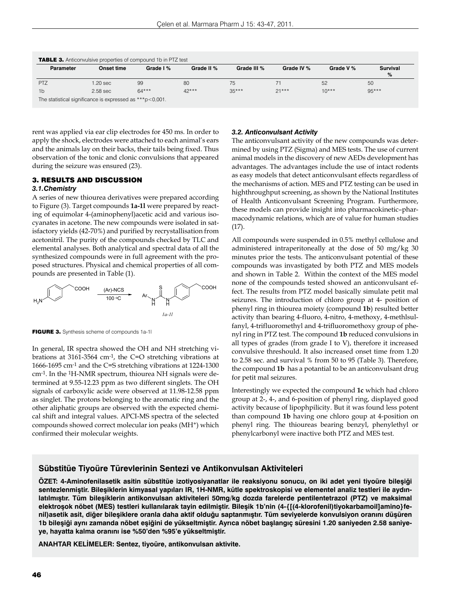| Parameter | <b>Onset time</b> | Grade I % | Grade II % | Grade III % | Grade IV % | Grade V % | <b>Survival</b><br>% |
|-----------|-------------------|-----------|------------|-------------|------------|-----------|----------------------|
| PTZ       | 1.20 sec          | 99        | 80         | 75          |            | 52        | 50                   |
| 1b        | $2.58$ sec        | $64***$   | $42***$    | $35***$     | $21***$    | $10***$   | $95***$              |

rent was applied via ear clip electrodes for 450 ms. In order to apply the shock, electrodes were attached to each animal's ears and the animals lay on their backs, their tails being fixed. Thus observation of the tonic and clonic convulsions that appeared during the seizure was ensured (23).

# 3. RESULTS AND DISCUSSION

# *3.1.Chemistry*

A series of new thiourea derivatives were prepared according to Figure (3). Target compounds **1a-1l** were prepared by reacting of equimolar 4-(aminophenyl)acetic acid and various isocyanates in acetone. The new compounds were isolated in satisfactory yields (42-70%) and purified by recrystallisation from acetonitril. The purity of the compounds checked by TLC and elemental analyses. Both analytical and spectral data of all the synthesized compounds were in full agreement with the proposed structures. Physical and chemical properties of all compounds are presented in Table (1).



FIGURE 3. Synthesis scheme of compounds 1a-1l

In general, IR spectra showed the OH and NH stretching vibrations at 3161-3564 cm-1, the C=O stretching vibrations at 1666-1695 cm-1 and the C=S stretching vibrations at 1224-1300 cm-1. In the 1H-NMR spectrum, thiourea NH signals were determined at 9.55-12.23 ppm as two different singlets. The OH signals of carboxylic acide were observed at 11.98-12.58 ppm as singlet. The protons belonging to the aromatic ring and the other aliphatic groups are observed with the expected chemical shift and integral values. APCI-MS spectra of the selected compounds showed correct molecular ion peaks (MH+) which confirmed their molecular weights.

### *3.2. Anticonvulsant Activity*

The anticonvulsant activity of the new compounds was determined by using PTZ (Sigma) and MES tests. The use of current animal models in the discovery of new AEDs development has advantages. The advantages include the use of intact rodents as easy models that detect anticonvulsant effects regardless of the mechanisms of action. MES and PTZ testing can be used in highthroughput screening, as shown by the National Institutes of Health Anticonvulsant Screening Program. Furthermore, these models can provide insight into pharmacokinetic–pharmacodynamic relations, which are of value for human studies (17).

All compounds were suspended in 0.5% methyl cellulose and administered intraperitoneally at the dose of 50 mg/kg 30 minutes prior the tests. The anticonvulsant potential of these compounds was invastigated by both PTZ and MES models and shown in Table 2. Within the context of the MES model none of the compounds tested showed an anticonvulsant effect. The results from PTZ model basically simulate petit mal seizures. The introduction of chloro group at 4- position of phenyl ring in thiourea moiety (compound **1b**) resulted better activity than bearing 4-fluoro, 4-nitro, 4-methoxy, 4-methlsulfanyl, 4-trifluoromethyl and 4-trifluoromethoxy group of phenyl ring in PTZ test. The compound **1b** reduced convulsions in all types of grades (from grade I to V), therefore it increased convulsive threshould. It also increased onset time from 1.20 to 2.58 sec. and survival % from 50 to 95 (Table 3). Therefore, the compound **1b** has a potantial to be an anticonvulsant drug for petit mal seizures.

Interestingly we expected the compound **1c** which had chloro group at 2-, 4-, and 6-position of phenyl ring, displayed good activity because of lipophpilicity. But it was found less potent than compound **1b** having one chloro goup at 4-position on phenyl ring. The thioureas bearing benzyl, phenylethyl or phenylcarbonyl were inactive both PTZ and MES test.

# **Sübstitüe Tiyoüre Türevlerinin Sentezi ve Antikonvulsan Aktiviteleri**

**ÖZET: 4-Aminofenilasetik asitin sübstitüe izotiyosiyanatlar ile reaksiyonu sonucu, on iki adet yeni tiyoüre bileşiği sentezlenmiştir. Bileşiklerin kimyasal yapıları IR, 1H-NMR, kütle spektroskopisi ve elementel analiz testleri ile aydınlatılmıştır. Tüm bileşiklerin antikonvulsan aktiviteleri 50mg/kg dozda farelerde pentilentetrazol (PTZ) ve maksimal elektroşok nöbet (MES) testleri kullanılarak tayin edilmiştir. Bileşik 1b'nin (4-{[(4-klorofenil)tiyokarbamoil]amino}fenil)asetik asit, diğer bileşiklere oranla daha aktif olduğu saptanmıştır. Tüm seviyelerde konvulsiyon oranını düşüren 1b bileşiği aynı zamanda nöbet eşiğini de yükseltmiştir. Ayrıca nöbet başlangıç süresini 1.20 saniyeden 2.58 saniyeye, hayatta kalma oranını ise %50'den %95'e yükseltmiştir.**

**ANAHTAR KELİMELER: Sentez, tiyoüre, antikonvulsan aktivite.**